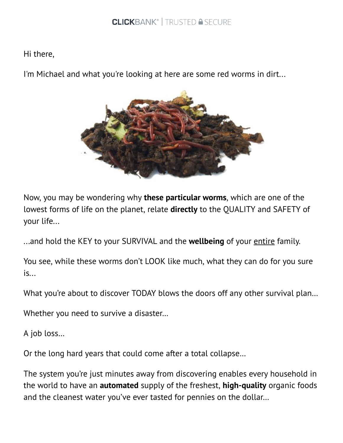Hi there,

I'm Michael and what you're looking at here are some red worms in dirt...



Now, you may be wondering why these particular worms, which are one of the lowest forms of life on the planet, relate directly to the QUALITY and SAFETY of your life...

...and hold the KEY to your SURVIVAL and the **wellbeing** of your entire family.

You see, while these worms don't LOOK like much, what they can do for you sure is...

What you're about to discover TODAY blows the doors off any other survival plan...

Whether you need to survive a disaster…

A job loss…

Or the long hard years that could come after a total collapse…

The system you're just minutes away from discovering enables every household in the world to have an **automated** supply of the freshest, **high-quality** organic foods and the cleanest water you've ever tasted for pennies on the dollar…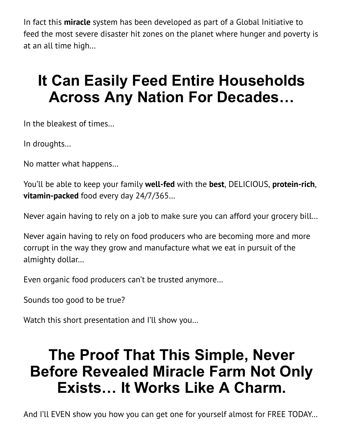In fact this **miracle** system has been developed as part of a Global Initiative to feed the most severe disaster hit zones on the planet where hunger and poverty is at an all time high…

#### It Can Easily Feed Entire Households Across Any Nation For Decades…

In the bleakest of times…

In droughts…

No matter what happens…

You'll be able to keep your family well-fed with the best, DELICIOUS, protein-rich, vitamin-packed food every day 24/7/365...

Never again having to rely on a job to make sure you can afford your grocery bill…

Never again having to rely on food producers who are becoming more and more corrupt in the way they grow and manufacture what we eat in pursuit of the almighty dollar…

Even organic food producers can't be trusted anymore…

Sounds too good to be true?

Watch this short presentation and I'll show you…

#### The Proof That This Simple, Never Before Revealed Miracle Farm Not Only Exists… It Works Like A Charm.

And I'll EVEN show you how you can get one for yourself almost for FREE TODAY…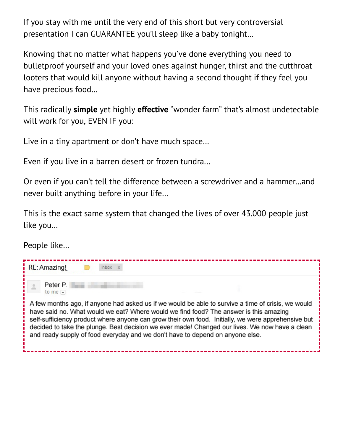If you stay with me until the very end of this short but very controversial presentation I can GUARANTEE you'll sleep like a baby tonight…

Knowing that no matter what happens you've done everything you need to bulletproof yourself and your loved ones against hunger, thirst and the cutthroat looters that would kill anyone without having a second thought if they feel you have precious food…

This radically simple yet highly effective "wonder farm" that's almost undetectable will work for you, EVEN IF you:

Live in a tiny apartment or don't have much space…

Even if you live in a barren desert or frozen tundra...

Or even if you can't tell the difference between a screwdriver and a hammer…and never built anything before in your life…

This is the exact same system that changed the lives of over 43.000 people just like you…

People like…

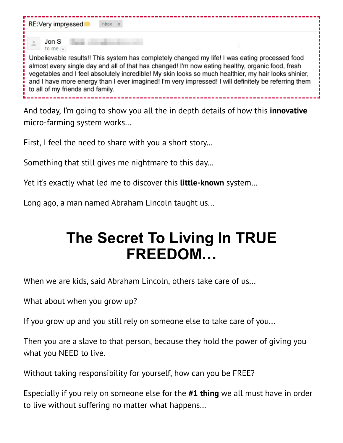| RE:Very impressed<br>$lnbox \ x$                                                                                                                                                                                                                                                                                                                                                                                                                                                                  |
|---------------------------------------------------------------------------------------------------------------------------------------------------------------------------------------------------------------------------------------------------------------------------------------------------------------------------------------------------------------------------------------------------------------------------------------------------------------------------------------------------|
| Jon S<br>to me $\overline{\phantom{a}}$<br>Unbelievable results!! This system has completely changed my life! I was eating processed food<br>almost every single day and all of that has changed! I'm now eating healthy, organic food, fresh<br>vegetables and I feel absolutely incredible! My skin looks so much healthier, my hair looks shinier,<br>and I have more energy than I ever imagined! I'm very impressed! I will definitely be referring them<br>to all of my friends and family. |

And today, I'm going to show you all the in depth details of how this **innovative** micro-farming system works…

First, I feel the need to share with you a short story…

Something that still gives me nightmare to this day…

Yet it's exactly what led me to discover this **little-known** system...

Long ago, a man named Abraham Lincoln taught us...

#### The Secret To Living In TRUE FREEDOM…

When we are kids, said Abraham Lincoln, others take care of us...

What about when you grow up?

If you grow up and you still rely on someone else to take care of you...

Then you are a slave to that person, because they hold the power of giving you what you NEED to live.

Without taking responsibility for yourself, how can you be FREE?

Especially if you rely on someone else for the #1 thing we all must have in order to live without suffering no matter what happens…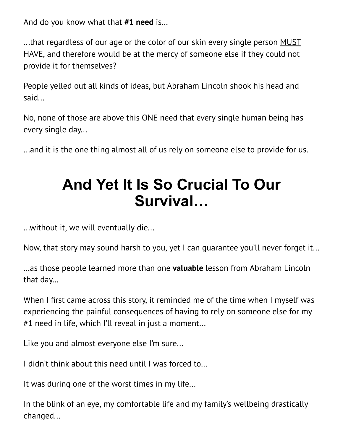And do you know what that #1 need is...

...that regardless of our age or the color of our skin every single person **MUST** HAVE, and therefore would be at the mercy of someone else if they could not provide it for themselves?

People yelled out all kinds of ideas, but Abraham Lincoln shook his head and said...

No, none of those are above this ONE need that every single human being has every single day...

...and it is the one thing almost all of us rely on someone else to provide for us.

### And Yet It Is So Crucial To Our Survival…

...without it, we will eventually die...

Now, that story may sound harsh to you, yet I can guarantee you'll never forget it...

...as those people learned more than one **valuable** lesson from Abraham Lincoln that day…

When I first came across this story, it reminded me of the time when I myself was experiencing the painful consequences of having to rely on someone else for my #1 need in life, which I'll reveal in just a moment...

Like you and almost everyone else I'm sure...

I didn't think about this need until I was forced to…

It was during one of the worst times in my life...

In the blink of an eye, my comfortable life and my family's wellbeing drastically changed...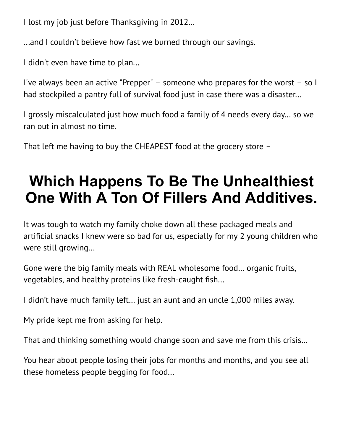I lost my job just before Thanksgiving in 2012…

...and I couldn't believe how fast we burned through our savings.

I didn't even have time to plan...

I've always been an active "Prepper" – someone who prepares for the worst – so I had stockpiled a pantry full of survival food just in case there was a disaster...

I grossly miscalculated just how much food a family of 4 needs every day... so we ran out in almost no time.

That left me having to buy the CHEAPEST food at the grocery store –

# Which Happens To Be The Unhealthiest One With A Ton Of Fillers And Additives.

It was tough to watch my family choke down all these packaged meals and artificial snacks I knew were so bad for us, especially for my 2 young children who were still growing...

Gone were the big family meals with REAL wholesome food… organic fruits, vegetables, and healthy proteins like fresh-caught ãsh...

I didn't have much family left… just an aunt and an uncle 1,000 miles away.

My pride kept me from asking for help.

That and thinking something would change soon and save me from this crisis…

You hear about people losing their jobs for months and months, and you see all these homeless people begging for food...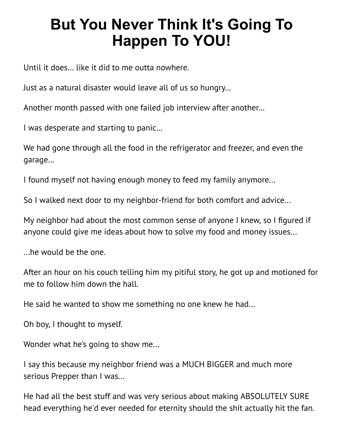#### But You Never Think It's Going To Happen To YOU!

Until it does… like it did to me outta nowhere.

Just as a natural disaster would leave all of us so hungry…

Another month passed with one failed job interview after another…

I was desperate and starting to panic…

We had gone through all the food in the refrigerator and freezer, and even the garage…

I found myself not having enough money to feed my family anymore...

So I walked next door to my neighbor-friend for both comfort and advice...

My neighbor had about the most common sense of anyone I knew, so I figured if anyone could give me ideas about how to solve my food and money issues...

...he would be the one.

After an hour on his couch telling him my pitiful story, he got up and motioned for me to follow him down the hall.

He said he wanted to show me something no one knew he had...

Oh boy, I thought to myself.

Wonder what he's going to show me...

I say this because my neighbor friend was a MUCH BIGGER and much more serious Prepper than I was...

He had all the best stuff and was very serious about making ABSOLUTELY SURE head everything he'd ever needed for eternity should the shit actually hit the fan.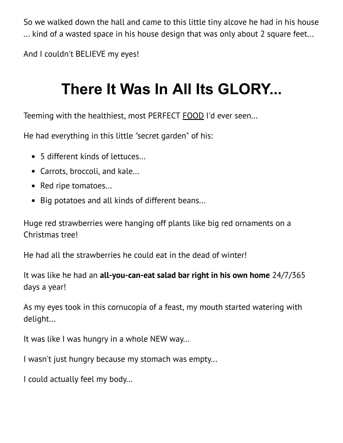So we walked down the hall and came to this little tiny alcove he had in his house ... kind of a wasted space in his house design that was only about 2 square feet...

And I couldn't BELIEVE my eyes!

# There It Was In All Its GLORY...

Teeming with the healthiest, most PERFECT FOOD I'd ever seen...

He had everything in this little "secret garden" of his:

- 5 different kinds of lettuces...
- Carrots, broccoli, and kale...
- Red ripe tomatoes...
- Big potatoes and all kinds of different beans...

Huge red strawberries were hanging off plants like big red ornaments on a Christmas tree!

He had all the strawberries he could eat in the dead of winter!

It was like he had an all-you-can-eat salad bar right in his own home 24/7/365 days a year!

As my eyes took in this cornucopia of a feast, my mouth started watering with delight...

It was like I was hungry in a whole NEW way...

I wasn't just hungry because my stomach was empty...

I could actually feel my body...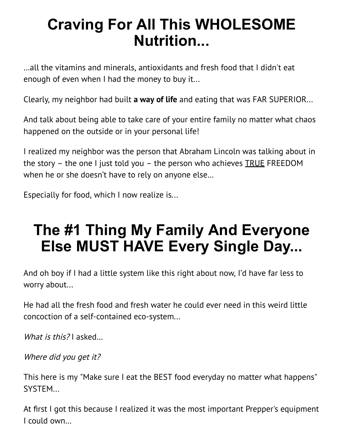### Craving For All This WHOLESOME Nutrition...

…all the vitamins and minerals, antioxidants and fresh food that I didn't eat enough of even when I had the money to buy it...

Clearly, my neighbor had built a way of life and eating that was FAR SUPERIOR...

And talk about being able to take care of your entire family no matter what chaos happened on the outside or in your personal life!

I realized my neighbor was the person that Abraham Lincoln was talking about in the story – the one I just told you – the person who achieves  $\overline{\text{TRUE}}$  FREEDOM when he or she doesn't have to rely on anyone else…

Especially for food, which I now realize is...

## The #1 Thing My Family And Everyone Else MUST HAVE Every Single Day...

And oh boy if I had a little system like this right about now, I'd have far less to worry about...

He had all the fresh food and fresh water he could ever need in this weird little concoction of a self-contained eco-system...

What is this? asked...

Where did you get it?

This here is my "Make sure I eat the BEST food everyday no matter what happens" SYSTEM...

At first I got this because I realized it was the most important Prepper's equipment I could own…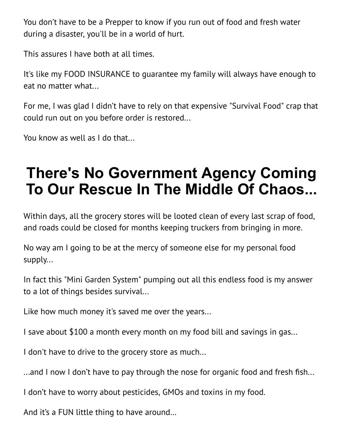You don't have to be a Prepper to know if you run out of food and fresh water during a disaster, you'll be in a world of hurt.

This assures I have both at all times.

It's like my FOOD INSURANCE to guarantee my family will always have enough to eat no matter what...

For me, I was glad I didn't have to rely on that expensive "Survival Food" crap that could run out on you before order is restored...

You know as well as I do that...

## There's No Government Agency Coming To Our Rescue In The Middle Of Chaos...

Within days, all the grocery stores will be looted clean of every last scrap of food, and roads could be closed for months keeping truckers from bringing in more.

No way am I going to be at the mercy of someone else for my personal food supply...

In fact this "Mini Garden System" pumping out all this endless food is my answer to a lot of things besides survival...

Like how much money it's saved me over the years...

I save about \$100 a month every month on my food bill and savings in gas...

I don't have to drive to the grocery store as much...

...and I now I don't have to pay through the nose for organic food and fresh fish...

I don't have to worry about pesticides, GMOs and toxins in my food.

And it's a FUN little thing to have around…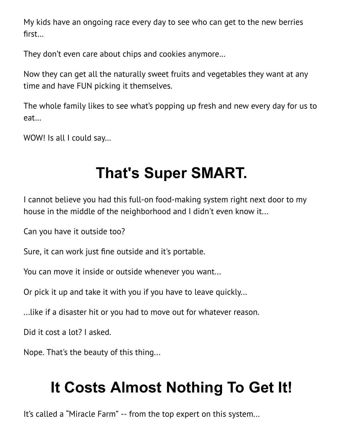My kids have an ongoing race every day to see who can get to the new berries first…

They don't even care about chips and cookies anymore…

Now they can get all the naturally sweet fruits and vegetables they want at any time and have FUN picking it themselves.

The whole family likes to see what's popping up fresh and new every day for us to eat…

WOW! Is all I could say…

# That's Super SMART.

I cannot believe you had this full-on food-making system right next door to my house in the middle of the neighborhood and I didn't even know it...

Can you have it outside too?

Sure, it can work just fine outside and it's portable.

You can move it inside or outside whenever you want...

Or pick it up and take it with you if you have to leave quickly...

...like if a disaster hit or you had to move out for whatever reason.

Did it cost a lot? I asked.

Nope. That's the beauty of this thing...

# It Costs Almost Nothing To Get It!

It's called a "Miracle Farm" -- from the top expert on this system...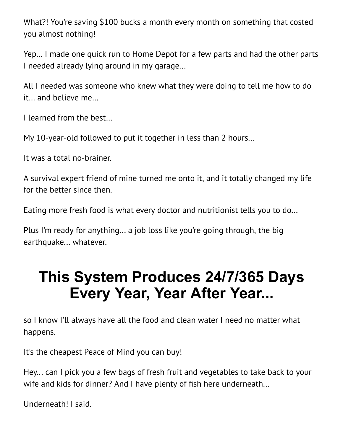What?! You're saving \$100 bucks a month every month on something that costed you almost nothing!

Yep… I made one quick run to Home Depot for a few parts and had the other parts I needed already lying around in my garage...

All I needed was someone who knew what they were doing to tell me how to do it… and believe me…

I learned from the best…

My 10-year-old followed to put it together in less than 2 hours...

It was a total no-brainer.

A survival expert friend of mine turned me onto it, and it totally changed my life for the better since then.

Eating more fresh food is what every doctor and nutritionist tells you to do...

Plus I'm ready for anything... a job loss like you're going through, the big earthquake... whatever.

#### This System Produces 24/7/365 Days Every Year, Year After Year...

so I know I'll always have all the food and clean water I need no matter what happens.

It's the cheapest Peace of Mind you can buy!

Hey... can I pick you a few bags of fresh fruit and vegetables to take back to your wife and kids for dinner? And I have plenty of fish here underneath...

Underneath! I said.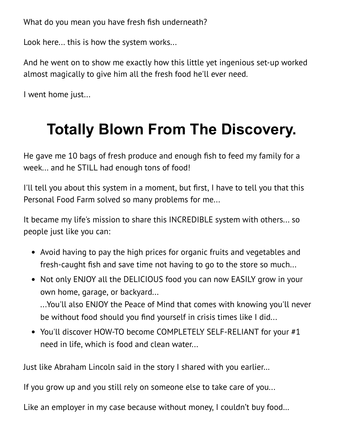What do you mean you have fresh fish underneath?

Look here... this is how the system works...

And he went on to show me exactly how this little yet ingenious set-up worked almost magically to give him all the fresh food he'll ever need.

I went home just...

# Totally Blown From The Discovery.

He gave me 10 bags of fresh produce and enough fish to feed my family for a week... and he STILL had enough tons of food!

I'll tell you about this system in a moment, but ãrst, I have to tell you that this Personal Food Farm solved so many problems for me...

It became my life's mission to share this INCREDIBLE system with others... so people just like you can:

- Avoid having to pay the high prices for organic fruits and vegetables and fresh-caught fish and save time not having to go to the store so much...
- Not only ENJOY all the DELICIOUS food you can now EASILY grow in your own home, garage, or backyard...

...You'll also ENJOY the Peace of Mind that comes with knowing you'll never be without food should you find yourself in crisis times like I did...

You'll discover HOW-TO become COMPLETELY SELF-RELIANT for your #1 need in life, which is food and clean water...

Just like Abraham Lincoln said in the story I shared with you earlier…

If you grow up and you still rely on someone else to take care of you...

Like an employer in my case because without money, I couldn't buy food…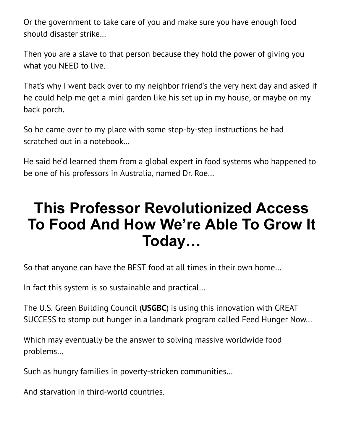Or the government to take care of you and make sure you have enough food should disaster strike…

Then you are a slave to that person because they hold the power of giving you what you NEED to live.

That's why I went back over to my neighbor friend's the very next day and asked if he could help me get a mini garden like his set up in my house, or maybe on my back porch.

So he came over to my place with some step-by-step instructions he had scratched out in a notebook…

He said he'd learned them from a global expert in food systems who happened to be one of his professors in Australia, named Dr. Roe…

### This Professor Revolutionized Access To Food And How We're Able To Grow It Today…

So that anyone can have the BEST food at all times in their own home…

In fact this system is so sustainable and practical…

The U.S. Green Building Council (USGBC) is using this innovation with GREAT SUCCESS to stomp out hunger in a landmark program called Feed Hunger Now…

Which may eventually be the answer to solving massive worldwide food problems…

Such as hungry families in poverty-stricken communities…

And starvation in third-world countries.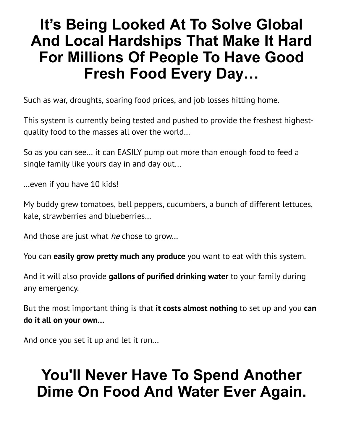#### It's Being Looked At To Solve Global And Local Hardships That Make It Hard For Millions Of People To Have Good Fresh Food Every Day…

Such as war, droughts, soaring food prices, and job losses hitting home.

This system is currently being tested and pushed to provide the freshest highestquality food to the masses all over the world…

So as you can see… it can EASILY pump out more than enough food to feed a single family like yours day in and day out...

…even if you have 10 kids!

My buddy grew tomatoes, bell peppers, cucumbers, a bunch of different lettuces, kale, strawberries and blueberries…

And those are just what he chose to grow...

You can easily grow pretty much any produce you want to eat with this system.

And it will also provide gallons of purified drinking water to your family during any emergency.

But the most important thing is that it costs almost nothing to set up and you can do it all on your own…

And once you set it up and let it run...

## You'll Never Have To Spend Another Dime On Food And Water Ever Again.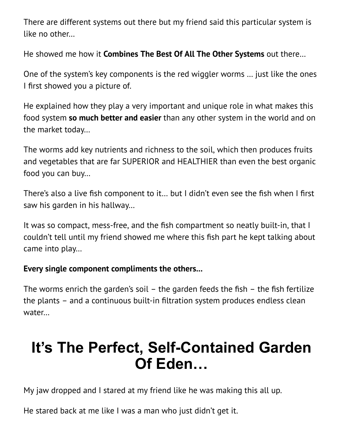There are different systems out there but my friend said this particular system is like no other…

He showed me how it **Combines The Best Of All The Other Systems** out there...

One of the system's key components is the red wiggler worms … just like the ones I first showed you a picture of.

He explained how they play a very important and unique role in what makes this food system so much better and easier than any other system in the world and on the market today…

The worms add key nutrients and richness to the soil, which then produces fruits and vegetables that are far SUPERIOR and HEALTHIER than even the best organic food you can buy…

There's also a live fish component to it... but I didn't even see the fish when I first saw his garden in his hallway…

It was so compact, mess-free, and the fish compartment so neatly built-in, that I couldn't tell until my friend showed me where this ãsh part he kept talking about came into play…

#### Every single component compliments the others...

The worms enrich the garden's soil – the garden feeds the fish – the fish fertilize the plants – and a continuous built-in ãltration system produces endless clean water…

#### It's The Perfect, Self-Contained Garden Of Eden…

My jaw dropped and I stared at my friend like he was making this all up.

He stared back at me like I was a man who just didn't get it.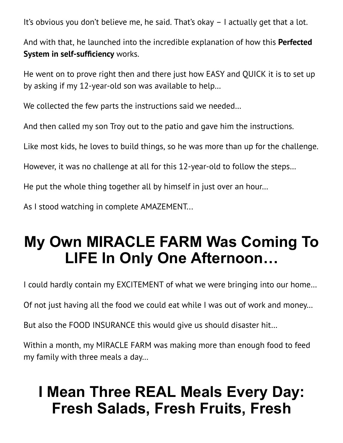It's obvious you don't believe me, he said. That's okay – I actually get that a lot.

And with that, he launched into the incredible explanation of how this **Perfected** System in self-sufficiency works.

He went on to prove right then and there just how EASY and QUICK it is to set up by asking if my 12-year-old son was available to help…

We collected the few parts the instructions said we needed…

And then called my son Troy out to the patio and gave him the instructions.

Like most kids, he loves to build things, so he was more than up for the challenge.

However, it was no challenge at all for this 12-year-old to follow the steps…

He put the whole thing together all by himself in just over an hour…

As I stood watching in complete AMAZEMENT...

# My Own MIRACLE FARM Was Coming To LIFE In Only One Afternoon…

I could hardly contain my EXCITEMENT of what we were bringing into our home…

Of not just having all the food we could eat while I was out of work and money…

But also the FOOD INSURANCE this would give us should disaster hit…

Within a month, my MIRACLE FARM was making more than enough food to feed my family with three meals a day…

### I Mean Three REAL Meals Every Day: Fresh Salads, Fresh Fruits, Fresh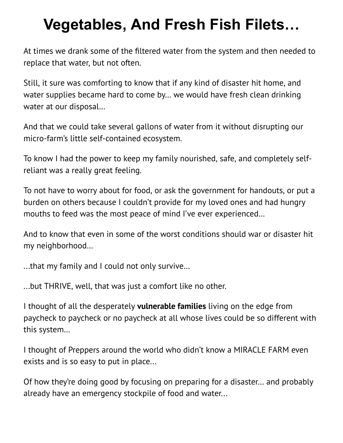## Vegetables, And Fresh Fish Filets…

At times we drank some of the filtered water from the system and then needed to replace that water, but not often.

Still, it sure was comforting to know that if any kind of disaster hit home, and water supplies became hard to come by… we would have fresh clean drinking water at our disposal…

And that we could take several gallons of water from it without disrupting our micro-farm's little self-contained ecosystem.

To know I had the power to keep my family nourished, safe, and completely selfreliant was a really great feeling.

To not have to worry about for food, or ask the government for handouts, or put a burden on others because I couldn't provide for my loved ones and had hungry mouths to feed was the most peace of mind I've ever experienced…

And to know that even in some of the worst conditions should war or disaster hit my neighborhood…

...that my family and I could not only survive…

...but THRIVE, well, that was just a comfort like no other.

I thought of all the desperately vulnerable families living on the edge from paycheck to paycheck or no paycheck at all whose lives could be so different with this system…

I thought of Preppers around the world who didn't know a MIRACLE FARM even exists and is so easy to put in place...

Of how they're doing good by focusing on preparing for a disaster… and probably already have an emergency stockpile of food and water...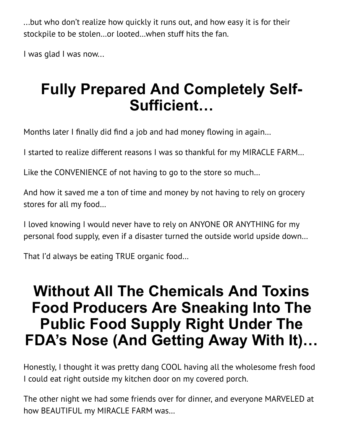...but who don't realize how quickly it runs out, and how easy it is for their stockpile to be stolen…or looted…when stuff hits the fan.

I was glad I was now...

### Fully Prepared And Completely Self-Sufficient…

Months later I finally did find a job and had money flowing in again...

I started to realize different reasons I was so thankful for my MIRACLE FARM…

Like the CONVENIENCE of not having to go to the store so much…

And how it saved me a ton of time and money by not having to rely on grocery stores for all my food…

I loved knowing I would never have to rely on ANYONE OR ANYTHING for my personal food supply, even if a disaster turned the outside world upside down…

That I'd always be eating TRUE organic food…

#### Without All The Chemicals And Toxins Food Producers Are Sneaking Into The Public Food Supply Right Under The FDA's Nose (And Getting Away With It)…

Honestly, I thought it was pretty dang COOL having all the wholesome fresh food I could eat right outside my kitchen door on my covered porch.

The other night we had some friends over for dinner, and everyone MARVELED at how BEAUTIFUL my MIRACLE FARM was…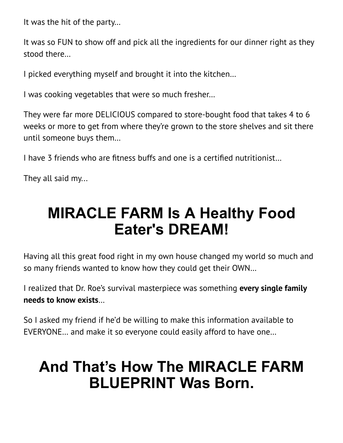It was the hit of the party…

It was so FUN to show off and pick all the ingredients for our dinner right as they stood there…

I picked everything myself and brought it into the kitchen…

I was cooking vegetables that were so much fresher…

They were far more DELICIOUS compared to store-bought food that takes 4 to 6 weeks or more to get from where they're grown to the store shelves and sit there until someone buys them…

I have 3 friends who are fitness buffs and one is a certified nutritionist...

They all said my...

### MIRACLE FARM Is A Healthy Food Eater's DREAM!

Having all this great food right in my own house changed my world so much and so many friends wanted to know how they could get their OWN…

I realized that Dr. Roe's survival masterpiece was something every single family needs to know exists…

So I asked my friend if he'd be willing to make this information available to EVERYONE… and make it so everyone could easily afford to have one…

#### And That's How The MIRACLE FARM BLUEPRINT Was Born.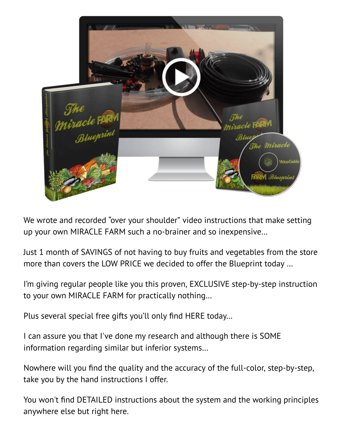

We wrote and recorded "over your shoulder" video instructions that make setting up your own MIRACLE FARM such a no-brainer and so inexpensive…

Just 1 month of SAVINGS of not having to buy fruits and vegetables from the store more than covers the LOW PRICE we decided to offer the Blueprint today …

I'm giving regular people like you this proven, EXCLUSIVE step-by-step instruction to your own MIRACLE FARM for practically nothing…

Plus several special free gifts you'll only find HERE today...

I can assure you that I've done my research and although there is SOME information regarding similar but inferior systems…

Nowhere will you find the quality and the accuracy of the full-color, step-by-step, take you by the hand instructions I offer.

You won't find DETAILED instructions about the system and the working principles anywhere else but right here.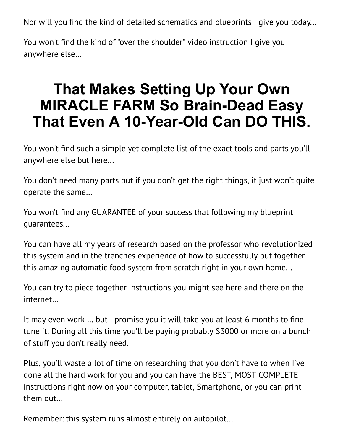Nor will you find the kind of detailed schematics and blueprints I give you today...

You won't find the kind of "over the shoulder" video instruction I give you anywhere else…

#### That Makes Setting Up Your Own MIRACLE FARM So Brain-Dead Easy That Even A 10-Year-Old Can DO THIS.

You won't find such a simple yet complete list of the exact tools and parts you'll anywhere else but here...

You don't need many parts but if you don't get the right things, it just won't quite operate the same…

You won't find any GUARANTEE of your success that following my blueprint guarantees...

You can have all my years of research based on the professor who revolutionized this system and in the trenches experience of how to successfully put together this amazing automatic food system from scratch right in your own home...

You can try to piece together instructions you might see here and there on the internet…

It may even work ... but I promise you it will take you at least 6 months to fine tune it. During all this time you'll be paying probably \$3000 or more on a bunch of stuff you don't really need.

Plus, you'll waste a lot of time on researching that you don't have to when I've done all the hard work for you and you can have the BEST, MOST COMPLETE instructions right now on your computer, tablet, Smartphone, or you can print them out...

Remember: this system runs almost entirely on autopilot...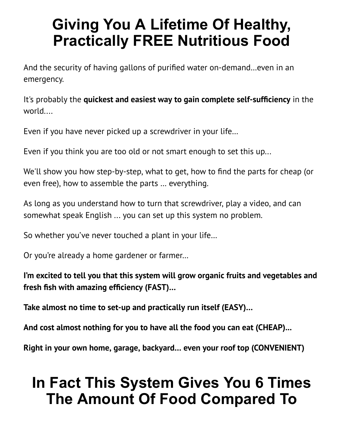### Giving You A Lifetime Of Healthy, Practically FREE Nutritious Food

And the security of having gallons of purified water on-demand...even in an emergency.

It's probably the quickest and easiest way to gain complete self-sufficiency in the world....

Even if you have never picked up a screwdriver in your life…

Even if you think you are too old or not smart enough to set this up...

We'll show you how step-by-step, what to get, how to ãnd the parts for cheap (or even free), how to assemble the parts … everything.

As long as you understand how to turn that screwdriver, play a video, and can somewhat speak English ... you can set up this system no problem.

So whether you've never touched a plant in your life…

Or you're already a home gardener or farmer…

I'm excited to tell you that this system will grow organic fruits and vegetables and fresh fish with amazing efficiency (FAST)...

Take almost no time to set-up and practically run itself (EASY)…

And cost almost nothing for you to have all the food you can eat (CHEAP)...

Right in your own home, garage, backyard… even your roof top (CONVENIENT)

### In Fact This System Gives You 6 Times The Amount Of Food Compared To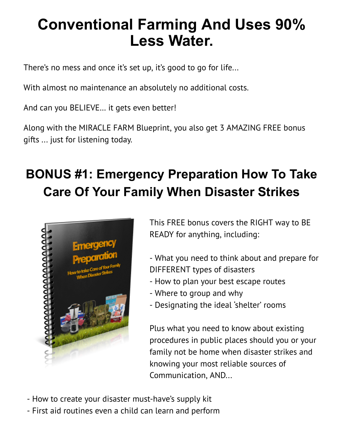#### Conventional Farming And Uses 90% Less Water.

There's no mess and once it's set up, it's good to go for life...

With almost no maintenance an absolutely no additional costs.

And can you BELIEVE… it gets even better!

Along with the MIRACLE FARM Blueprint, you also get 3 AMAZING FREE bonus gifts ... just for listening today.

#### BONUS #1: Emergency Preparation How To Take Care Of Your Family When Disaster Strikes



This FREE bonus covers the RIGHT way to BE READY for anything, including:

- What you need to think about and prepare for DIFFERENT types of disasters
- How to plan your best escape routes
- Where to group and why
- Designating the ideal 'shelter' rooms

Plus what you need to know about existing procedures in public places should you or your family not be home when disaster strikes and knowing your most reliable sources of Communication, AND...

- How to create your disaster must-have's supply kit
- First aid routines even a child can learn and perform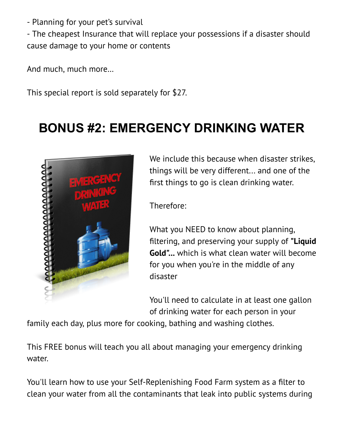- Planning for your pet's survival

- The cheapest Insurance that will replace your possessions if a disaster should cause damage to your home or contents

And much, much more…

This special report is sold separately for \$27.

#### BONUS #2: EMERGENCY DRINKING WATER



We include this because when disaster strikes, things will be very different... and one of the first things to go is clean drinking water.

Therefore:

What you NEED to know about planning, filtering, and preserving your supply of "Liquid Gold"... which is what clean water will become for you when you're in the middle of any disaster

You'll need to calculate in at least one gallon of drinking water for each person in your

family each day, plus more for cooking, bathing and washing clothes.

This FREE bonus will teach you all about managing your emergency drinking water.

You'll learn how to use your Self-Replenishing Food Farm system as a filter to clean your water from all the contaminants that leak into public systems during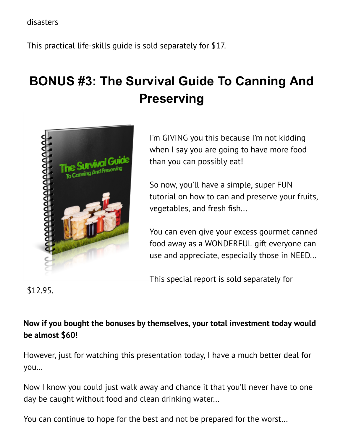disasters

This practical life-skills guide is sold separately for \$17.

#### BONUS #3: The Survival Guide To Canning And Preserving



I'm GIVING you this because I'm not kidding when I say you are going to have more food than you can possibly eat!

So now, you'll have a simple, super FUN tutorial on how to can and preserve your fruits, vegetables, and fresh fish...

You can even give your excess gourmet canned food away as a WONDERFUL gift everyone can use and appreciate, especially those in NEED...

This special report is sold separately for

\$12.95.

#### Now if you bought the bonuses by themselves, your total investment today would be almost \$60!

However, just for watching this presentation today, I have a much better deal for you…

Now I know you could just walk away and chance it that you'll never have to one day be caught without food and clean drinking water...

You can continue to hope for the best and not be prepared for the worst...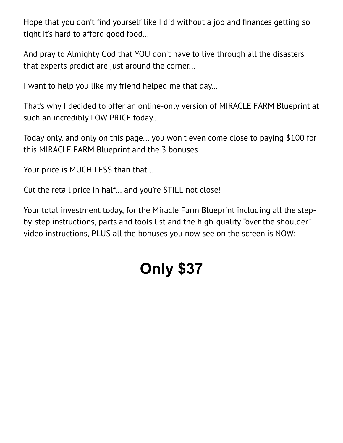Hope that you don't find yourself like I did without a job and finances getting so tight it's hard to afford good food…

And pray to Almighty God that YOU don't have to live through all the disasters that experts predict are just around the corner...

I want to help you like my friend helped me that day…

That's why I decided to offer an online-only version of MIRACLE FARM Blueprint at such an incredibly LOW PRICE today...

Today only, and only on this page... you won't even come close to paying \$100 for this MIRACLE FARM Blueprint and the 3 bonuses

Your price is MUCH LESS than that...

Cut the retail price in half... and you're STILL not close!

Your total investment today, for the Miracle Farm Blueprint including all the stepby-step instructions, parts and tools list and the high-quality "over the shoulder" video instructions, PLUS all the bonuses you now see on the screen is NOW:

# Only \$37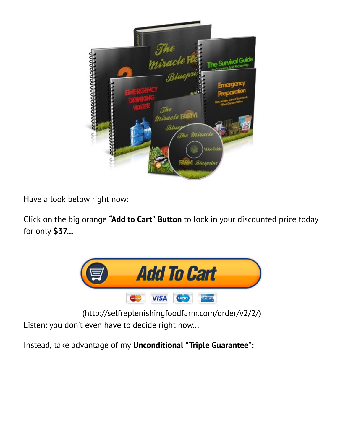

Have a look below right now:

Click on the big orange "Add to Cart" Button to lock in your discounted price today for only \$37...



[\(http://selfreplenishingfoodfarm.com/order/v2/2/\)](http://selfreplenishingfoodfarm.com/order/v2/2/)

Listen: you don't even have to decide right now...

Instead, take advantage of my Unconditional "Triple Guarantee":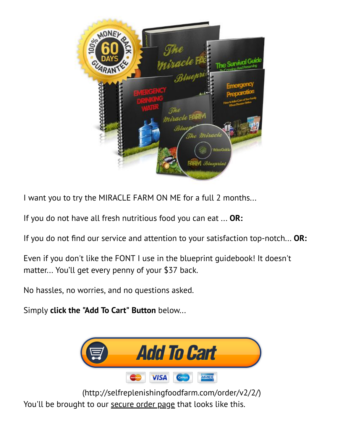

I want you to try the MIRACLE FARM ON ME for a full 2 months...

If you do not have all fresh nutritious food you can eat ... OR:

If you do not find our service and attention to your satisfaction top-notch...  $OR:$ 

Even if you don't like the FONT I use in the blueprint guidebook! It doesn't matter... You'll get every penny of your \$37 back.

No hassles, no worries, and no questions asked.

Simply click the "Add To Cart" Button below...



[\(http://selfreplenishingfoodfarm.com/order/v2/2/\)](http://selfreplenishingfoodfarm.com/order/v2/2/)

You'll be brought to our secure order page that looks like this.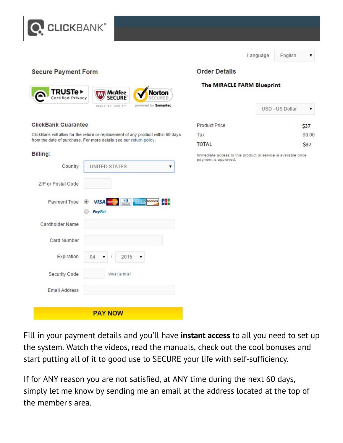

Language

English

#### **Secure Payment Form**



#### **ClickBank Guarantee**

ClickBank will allow for the return or replacement of any product within 60 days from the date of purchase. For more details see our return policy.

| Country            | <b>UNITED STATES</b><br>v      |
|--------------------|--------------------------------|
| ZIP or Postal Code |                                |
|                    | PayPal                         |
| Cardholder Name    |                                |
| <b>Card Number</b> |                                |
| Expiration         | 2015<br>04<br>$\boldsymbol{l}$ |
| Security Code      | What is this?                  |
|                    |                                |

#### **Order Details**

#### The MIRACLE FARM Blueprint

|                      | USD - US Dollar |            |
|----------------------|-----------------|------------|
| <b>Product Price</b> |                 | \$37       |
| Tax                  |                 | \$0.00     |
| <b>TOTAL</b>         |                 | <b>S37</b> |

Immediate access to this product or service is available once payment is approved.

Fill in your payment details and you'll have **instant access** to all you need to set up the system. Watch the videos, read the manuals, check out the cool bonuses and start putting all of it to good use to SECURE your life with self-sufficiency.

If for ANY reason you are not satisfied, at ANY time during the next 60 days, simply let me know by sending me an email at the address located at the top of the member's area.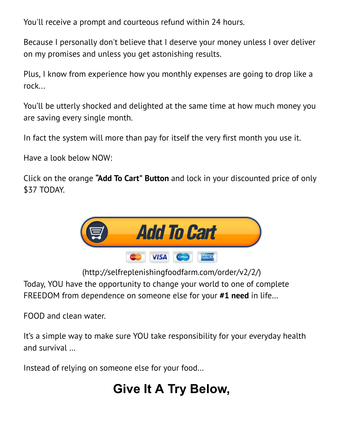You'll receive a prompt and courteous refund within 24 hours.

Because I personally don't believe that I deserve your money unless I over deliver on my promises and unless you get astonishing results.

Plus, I know from experience how you monthly expenses are going to drop like a rock...

You'll be utterly shocked and delighted at the same time at how much money you are saving every single month.

In fact the system will more than pay for itself the very first month you use it.

Have a look below NOW:

Click on the orange "Add To Cart" Button and lock in your discounted price of only \$37 TODAY.



[\(http://selfreplenishingfoodfarm.com/order/v2/2/\)](http://selfreplenishingfoodfarm.com/order/v2/2/) Today, YOU have the opportunity to change your world to one of complete FREEDOM from dependence on someone else for your #1 need in life...

FOOD and clean water.

It's a simple way to make sure YOU take responsibility for your everyday health and survival …

Instead of relying on someone else for your food…

#### Give It A Try Below,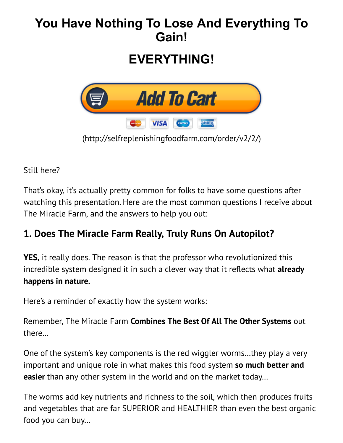#### You Have Nothing To Lose And Everything To Gain!

#### EVERYTHING!



[\(http://selfreplenishingfoodfarm.com/order/v2/2/\)](http://selfreplenishingfoodfarm.com/order/v2/2/)

Still here?

That's okay, it's actually pretty common for folks to have some questions after watching this presentation. Here are the most common questions I receive about The Miracle Farm, and the answers to help you out:

#### 1. Does The Miracle Farm Really, Truly Runs On Autopilot?

**YES,** it really does. The reason is that the professor who revolutionized this incredible system designed it in such a clever way that it reflects what already happens in nature.

Here's a reminder of exactly how the system works:

Remember, The Miracle Farm Combines The Best Of All The Other Systems out there…

One of the system's key components is the red wiggler worms…they play a very important and unique role in what makes this food system so much better and **easier** than any other system in the world and on the market today...

The worms add key nutrients and richness to the soil, which then produces fruits and vegetables that are far SUPERIOR and HEALTHIER than even the best organic food you can buy…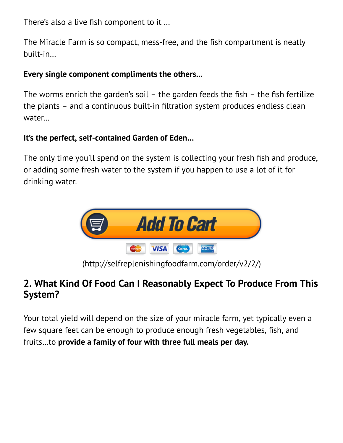There's also a live fish component to it ...

The Miracle Farm is so compact, mess-free, and the fish compartment is neatly built-in…

#### Every single component compliments the others...

The worms enrich the garden's soil – the garden feeds the fish – the fish fertilize the plants – and a continuous built-in ãltration system produces endless clean water…

#### It's the perfect, self-contained Garden of Eden…

The only time you'll spend on the system is collecting your fresh fish and produce, or adding some fresh water to the system if you happen to use a lot of it for drinking water.



[\(http://selfreplenishingfoodfarm.com/order/v2/2/\)](http://selfreplenishingfoodfarm.com/order/v2/2/)

#### 2. What Kind Of Food Can I Reasonably Expect To Produce From This System?

Your total yield will depend on the size of your miracle farm, yet typically even a few square feet can be enough to produce enough fresh vegetables, fish, and fruits…to provide a family of four with three full meals per day.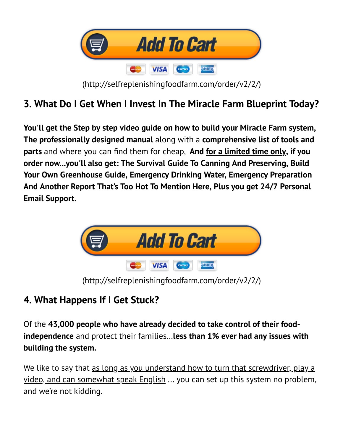

[\(http://selfreplenishingfoodfarm.com/order/v2/2/\)](http://selfreplenishingfoodfarm.com/order/v2/2/)

#### 3. What Do I Get When I Invest In The Miracle Farm Blueprint Today?

You'll get the Step by step video guide on how to build your Miracle Farm system, The professionally designed manual along with a comprehensive list of tools and parts and where you can find them for cheap, And for a limited time only, if you order now...you'll also get: The Survival Guide To Canning And Preserving, Build Your Own Greenhouse Guide, Emergency Drinking Water, Emergency Preparation And Another Report That's Too Hot To Mention Here, Plus you get 24/7 Personal Email Support.



[\(http://selfreplenishingfoodfarm.com/order/v2/2/\)](http://selfreplenishingfoodfarm.com/order/v2/2/)

#### 4. What Happens If I Get Stuck?

Of the 43,000 people who have already decided to take control of their foodindependence and protect their families...less than 1% ever had any issues with building the system.

We like to say that as long as you understand how to turn that screwdriver, play a video, and can somewhat speak English ... you can set up this system no problem, and we're not kidding.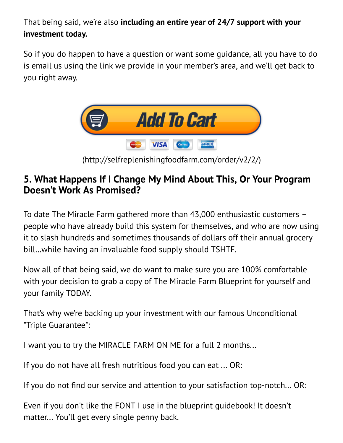That being said, we're also including an entire year of 24/7 support with your investment today.

So if you do happen to have a question or want some guidance, all you have to do is email us using the link we provide in your member's area, and we'll get back to you right away.



[\(http://selfreplenishingfoodfarm.com/order/v2/2/\)](http://selfreplenishingfoodfarm.com/order/v2/2/)

#### 5. What Happens If I Change My Mind About This, Or Your Program Doesn't Work As Promised?

To date The Miracle Farm gathered more than 43,000 enthusiastic customers – people who have already build this system for themselves, and who are now using it to slash hundreds and sometimes thousands of dollars off their annual grocery bill…while having an invaluable food supply should TSHTF.

Now all of that being said, we do want to make sure you are 100% comfortable with your decision to grab a copy of The Miracle Farm Blueprint for yourself and your family TODAY.

That's why we're backing up your investment with our famous Unconditional "Triple Guarantee":

I want you to try the MIRACLE FARM ON ME for a full 2 months...

If you do not have all fresh nutritious food you can eat ... OR:

If you do not find our service and attention to your satisfaction top-notch... OR:

Even if you don't like the FONT I use in the blueprint guidebook! It doesn't matter... You'll get every single penny back.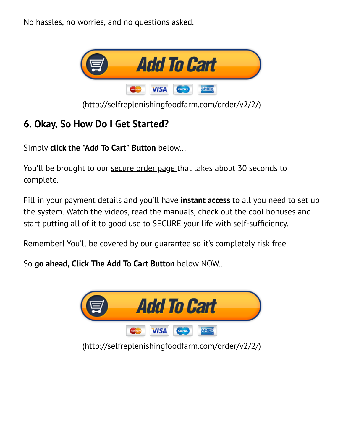No hassles, no worries, and no questions asked.



[\(http://selfreplenishingfoodfarm.com/order/v2/2/\)](http://selfreplenishingfoodfarm.com/order/v2/2/)

#### 6. Okay, So How Do I Get Started?

Simply click the "Add To Cart" Button below...

You'll be brought to our secure order page that takes about 30 seconds to complete.

Fill in your payment details and you'll have **instant access** to all you need to set up the system. Watch the videos, read the manuals, check out the cool bonuses and start putting all of it to good use to SECURE your life with self-sufficiency.

Remember! You'll be covered by our guarantee so it's completely risk free.

So go ahead, Click The Add To Cart Button below NOW…



[\(http://selfreplenishingfoodfarm.com/order/v2/2/\)](http://selfreplenishingfoodfarm.com/order/v2/2/)